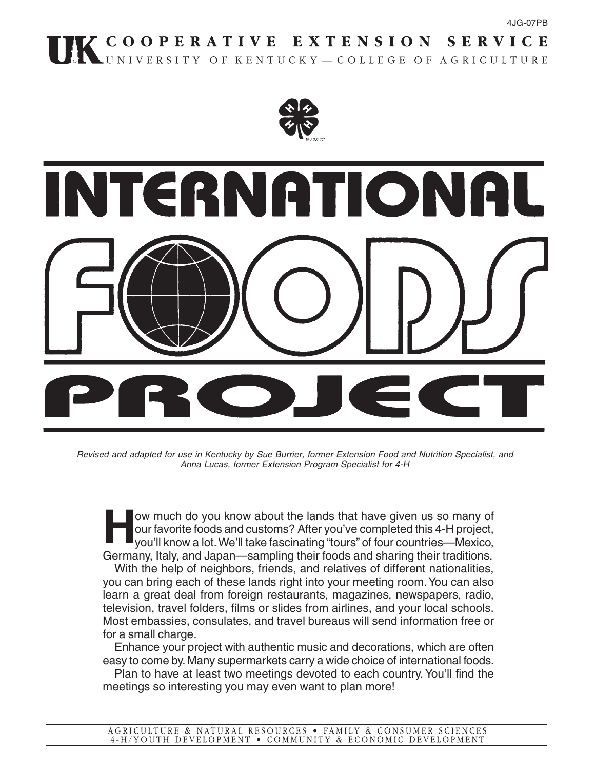# K COOPERATIVE EXTENSION SERVICE





Revised and adapted for use in Kentucky by Sue Burrier, former Extension Food and Nutrition Specialist, and Anna Lucas, former Extension Program Specialist for 4-H

**How much do you know about the lands that have given us so many of<br>our favorite foods and customs? After you've completed this 4-H project,<br>you'll know a lot. We'll take fascinating "tours" of four countries—Mexico,** our favorite foods and customs? After you've completed this 4-H project, you'll know a lot. We'll take fascinating "tours" of four countries—Mexico, Germany, Italy, and Japan—sampling their foods and sharing their traditions.

With the help of neighbors, friends, and relatives of different nationalities, you can bring each of these lands right into your meeting room. You can also learn a great deal from foreign restaurants, magazines, newspapers, radio, television, travel folders, films or slides from airlines, and your local schools. Most embassies, consulates, and travel bureaus will send information free or for a small charge.

Enhance your project with authentic music and decorations, which are often easy to come by. Many supermarkets carry a wide choice of international foods.

Plan to have at least two meetings devoted to each country. You'll find the meetings so interesting you may even want to plan more!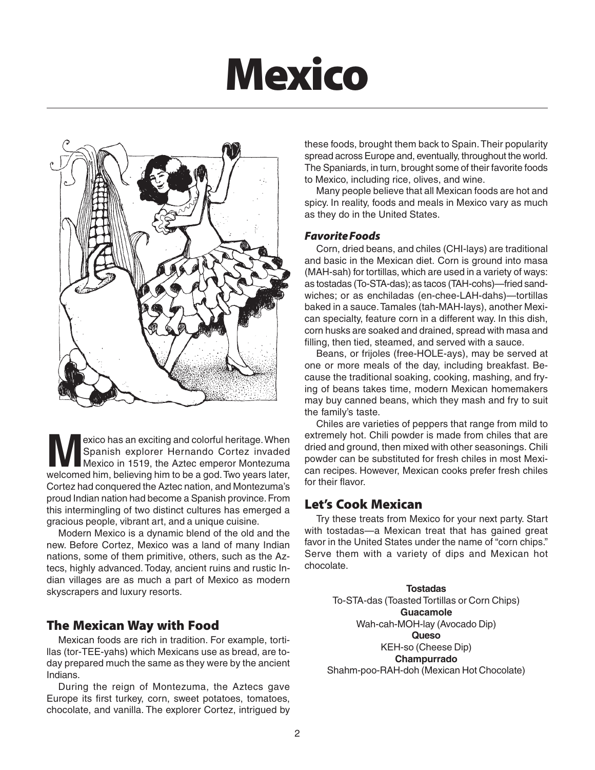# **Mexico**



exico has an exciting and colorful heritage. When<br>Spanish explorer Hernando Cortez invaded<br>Mexico in 1519, the Aztec emperor Montezuma<br>Welcomed him believing him to be a god Two years later Spanish explorer Hernando Cortez invaded Mexico in 1519, the Aztec emperor Montezuma welcomed him, believing him to be a god. Two years later, Cortez had conquered the Aztec nation, and Montezuma's proud Indian nation had become a Spanish province. From this intermingling of two distinct cultures has emerged a gracious people, vibrant art, and a unique cuisine.

Modern Mexico is a dynamic blend of the old and the new. Before Cortez, Mexico was a land of many Indian nations, some of them primitive, others, such as the Aztecs, highly advanced. Today, ancient ruins and rustic Indian villages are as much a part of Mexico as modern skyscrapers and luxury resorts.

## **The Mexican Way with Food**

Mexican foods are rich in tradition. For example, tortillas (tor-TEE-yahs) which Mexicans use as bread, are today prepared much the same as they were by the ancient Indians.

During the reign of Montezuma, the Aztecs gave Europe its first turkey, corn, sweet potatoes, tomatoes, chocolate, and vanilla. The explorer Cortez, intrigued by these foods, brought them back to Spain. Their popularity spread across Europe and, eventually, throughout the world. The Spaniards, in turn, brought some of their favorite foods to Mexico, including rice, olives, and wine.

Many people believe that all Mexican foods are hot and spicy. In reality, foods and meals in Mexico vary as much as they do in the United States.

#### *Favorite Foods*

Corn, dried beans, and chiles (CHI-lays) are traditional and basic in the Mexican diet. Corn is ground into masa (MAH-sah) for tortillas, which are used in a variety of ways: as tostadas (To-STA-das); as tacos (TAH-cohs)—fried sandwiches; or as enchiladas (en-chee-LAH-dahs)—tortillas baked in a sauce. Tamales (tah-MAH-lays), another Mexican specialty, feature corn in a different way. In this dish, corn husks are soaked and drained, spread with masa and filling, then tied, steamed, and served with a sauce.

Beans, or frijoles (free-HOLE-ays), may be served at one or more meals of the day, including breakfast. Because the traditional soaking, cooking, mashing, and frying of beans takes time, modern Mexican homemakers may buy canned beans, which they mash and fry to suit the family's taste.

Chiles are varieties of peppers that range from mild to extremely hot. Chili powder is made from chiles that are dried and ground, then mixed with other seasonings. Chili powder can be substituted for fresh chiles in most Mexican recipes. However, Mexican cooks prefer fresh chiles for their flavor.

## **Let's Cook Mexican**

Try these treats from Mexico for your next party. Start with tostadas—a Mexican treat that has gained great favor in the United States under the name of "corn chips." Serve them with a variety of dips and Mexican hot chocolate.

**Tostadas** To-STA-das (Toasted Tortillas or Corn Chips) **Guacamole** Wah-cah-MOH-lay (Avocado Dip) **Queso** KEH-so (Cheese Dip) **Champurrado** Shahm-poo-RAH-doh (Mexican Hot Chocolate)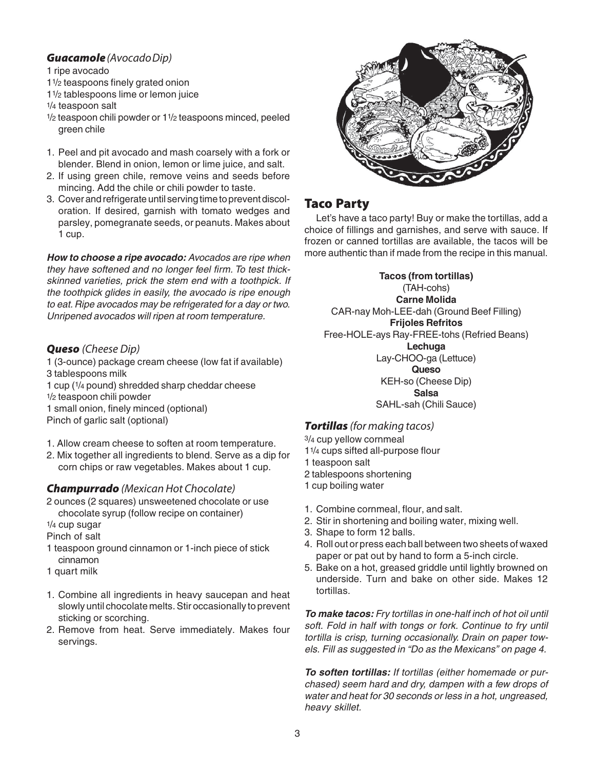#### *Guacamole* (Avocado Dip)

#### 1 ripe avocado

- 11/2 teaspoons finely grated onion
- 11/2 tablespoons lime or lemon juice

1/4 teaspoon salt

- 1/2 teaspoon chili powder or 11/2 teaspoons minced, peeled green chile
- 1. Peel and pit avocado and mash coarsely with a fork or blender. Blend in onion, lemon or lime juice, and salt.
- 2. If using green chile, remove veins and seeds before mincing. Add the chile or chili powder to taste.
- 3. Cover and refrigerate until serving time to prevent discoloration. If desired, garnish with tomato wedges and parsley, pomegranate seeds, or peanuts. Makes about 1 cup.

**How to choose a ripe avocado:** Avocados are ripe when they have softened and no longer feel firm. To test thickskinned varieties, prick the stem end with a toothpick. If the toothpick glides in easily, the avocado is ripe enough to eat. Ripe avocados may be refrigerated for a day or two. Unripened avocados will ripen at room temperature.

#### *Queso* (Cheese Dip)

1 (3-ounce) package cream cheese (low fat if available) 3 tablespoons milk 1 cup (1/4 pound) shredded sharp cheddar cheese 1/2 teaspoon chili powder 1 small onion, finely minced (optional) Pinch of garlic salt (optional)

- 1. Allow cream cheese to soften at room temperature.
- 2. Mix together all ingredients to blend. Serve as a dip for corn chips or raw vegetables. Makes about 1 cup.

#### *Champurrado* (Mexican Hot Chocolate)

- 2 ounces (2 squares) unsweetened chocolate or use chocolate syrup (follow recipe on container)
- 1/4 cup sugar

Pinch of salt

- 1 teaspoon ground cinnamon or 1-inch piece of stick cinnamon
- 1 quart milk
- 1. Combine all ingredients in heavy saucepan and heat slowly until chocolate melts. Stir occasionally to prevent sticking or scorching.
- 2. Remove from heat. Serve immediately. Makes four servings.



# **Taco Party**

Let's have a taco party! Buy or make the tortillas, add a choice of fillings and garnishes, and serve with sauce. If frozen or canned tortillas are available, the tacos will be more authentic than if made from the recipe in this manual.

**Tacos (from tortillas)** (TAH-cohs) **Carne Molida** CAR-nay Moh-LEE-dah (Ground Beef Filling) **Frijoles Refritos** Free-HOLE-ays Ray-FREE-tohs (Refried Beans) **Lechuga** Lay-CHOO-ga (Lettuce) **Queso** KEH-so (Cheese Dip) **Salsa** SAHL-sah (Chili Sauce)

#### *Tortillas* (for making tacos)

- 3/4 cup yellow cornmeal 11/4 cups sifted all-purpose flour
- 1 teaspoon salt
- 2 tablespoons shortening
- 1 cup boiling water
- 1. Combine cornmeal, flour, and salt.
- 2. Stir in shortening and boiling water, mixing well.
- 3. Shape to form 12 balls.
- 4. Roll out or press each ball between two sheets of waxed paper or pat out by hand to form a 5-inch circle.
- 5. Bake on a hot, greased griddle until lightly browned on underside. Turn and bake on other side. Makes 12 tortillas.

**To make tacos:** Fry tortillas in one-half inch of hot oil until soft. Fold in half with tongs or fork. Continue to fry until tortilla is crisp, turning occasionally. Drain on paper towels. Fill as suggested in "Do as the Mexicans" on page 4.

**To soften tortillas:** If tortillas (either homemade or purchased) seem hard and dry, dampen with a few drops of water and heat for 30 seconds or less in a hot, ungreased, heavy skillet.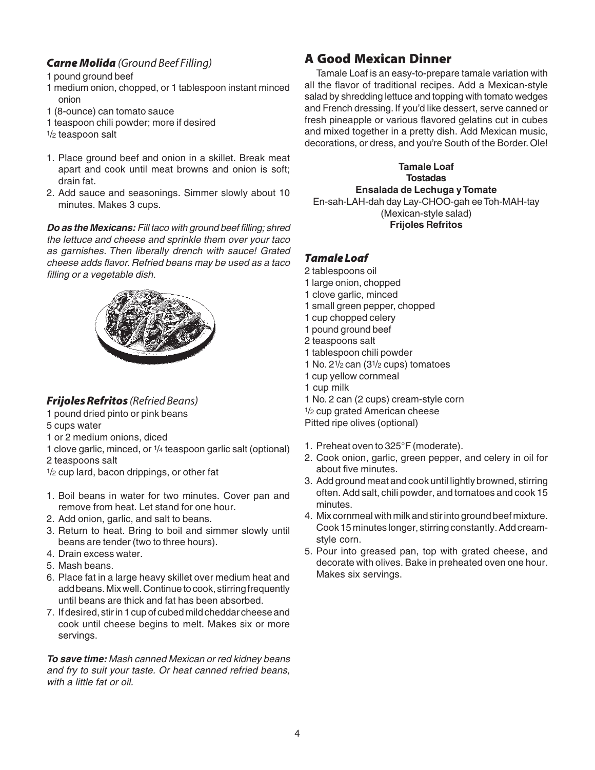#### *Carne Molida* (Ground Beef Filling)

1 pound ground beef

- 1 medium onion, chopped, or 1 tablespoon instant minced onion
- 1 (8-ounce) can tomato sauce
- 1 teaspoon chili powder; more if desired
- 1/2 teaspoon salt
- 1. Place ground beef and onion in a skillet. Break meat apart and cook until meat browns and onion is soft; drain fat.
- 2. Add sauce and seasonings. Simmer slowly about 10 minutes. Makes 3 cups.

**Do as the Mexicans:** Fill taco with ground beef filling; shred the lettuce and cheese and sprinkle them over your taco as garnishes. Then liberally drench with sauce! Grated cheese adds flavor. Refried beans may be used as a taco filling or a vegetable dish.



#### *Frijoles Refritos* (Refried Beans)

1 pound dried pinto or pink beans

- 5 cups water
- 1 or 2 medium onions, diced
- 1 clove garlic, minced, or 1/4 teaspoon garlic salt (optional) 2 teaspoons salt
- $1/2$  cup lard, bacon drippings, or other fat
- 1. Boil beans in water for two minutes. Cover pan and remove from heat. Let stand for one hour.
- 2. Add onion, garlic, and salt to beans.
- 3. Return to heat. Bring to boil and simmer slowly until beans are tender (two to three hours).
- 4. Drain excess water.
- 5. Mash beans.
- 6. Place fat in a large heavy skillet over medium heat and add beans. Mix well. Continue to cook, stirring frequently until beans are thick and fat has been absorbed.
- 7. If desired, stir in 1 cup of cubed mild cheddar cheese and cook until cheese begins to melt. Makes six or more servings.

**To save time:** Mash canned Mexican or red kidney beans and fry to suit your taste. Or heat canned refried beans, with a little fat or oil.

# **A Good Mexican Dinner**

Tamale Loaf is an easy-to-prepare tamale variation with all the flavor of traditional recipes. Add a Mexican-style salad by shredding lettuce and topping with tomato wedges and French dressing. If you'd like dessert, serve canned or fresh pineapple or various flavored gelatins cut in cubes and mixed together in a pretty dish. Add Mexican music, decorations, or dress, and you're South of the Border. Ole!

**Tamale Loaf Tostadas Ensalada de Lechuga y Tomate** En-sah-LAH-dah day Lay-CHOO-gah ee Toh-MAH-tay (Mexican-style salad) **Frijoles Refritos**

#### *Tamale Loaf*

- 2 tablespoons oil
- 1 large onion, chopped
- 1 clove garlic, minced
- 1 small green pepper, chopped
- 1 cup chopped celery
- 1 pound ground beef
- 2 teaspoons salt
- 1 tablespoon chili powder
- 1 No. 21/2 can (31/2 cups) tomatoes
- 1 cup yellow cornmeal
- 1 cup milk
- 1 No. 2 can (2 cups) cream-style corn
- 1/2 cup grated American cheese

Pitted ripe olives (optional)

- 1. Preheat oven to 325°F (moderate).
- 2. Cook onion, garlic, green pepper, and celery in oil for about five minutes.
- 3. Add ground meat and cook until lightly browned, stirring often. Add salt, chili powder, and tomatoes and cook 15 minutes.
- 4. Mix cornmeal with milk and stir into ground beef mixture. Cook 15 minutes longer, stirring constantly. Add creamstyle corn.
- 5. Pour into greased pan, top with grated cheese, and decorate with olives. Bake in preheated oven one hour. Makes six servings.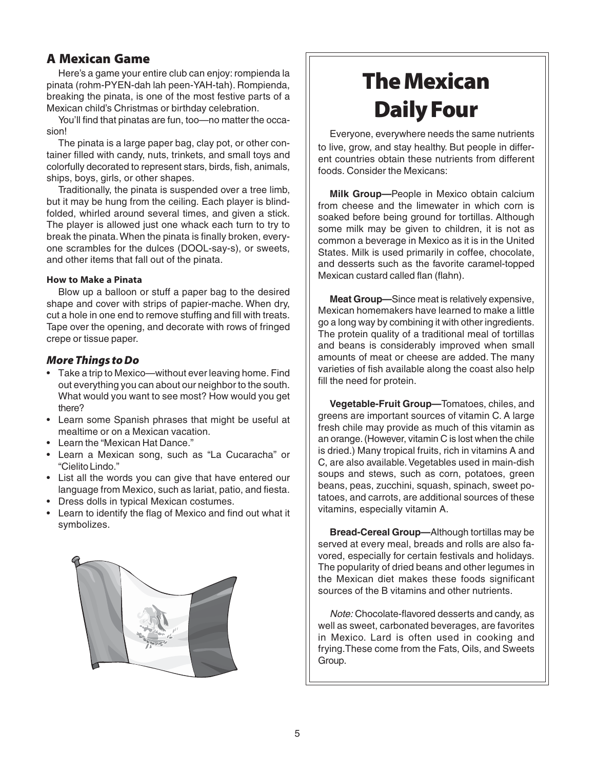# **A Mexican Game**

Here's a game your entire club can enjoy: rompienda la pinata (rohm-PYEN-dah lah peen-YAH-tah). Rompienda, breaking the pinata, is one of the most festive parts of a Mexican child's Christmas or birthday celebration.

You'll find that pinatas are fun, too—no matter the occasion!

The pinata is a large paper bag, clay pot, or other container filled with candy, nuts, trinkets, and small toys and colorfully decorated to represent stars, birds, fish, animals, ships, boys, girls, or other shapes.

Traditionally, the pinata is suspended over a tree limb, but it may be hung from the ceiling. Each player is blindfolded, whirled around several times, and given a stick. The player is allowed just one whack each turn to try to break the pinata. When the pinata is finally broken, everyone scrambles for the dulces (DOOL-say-s), or sweets, and other items that fall out of the pinata.

#### **How to Make a Pinata**

Blow up a balloon or stuff a paper bag to the desired shape and cover with strips of papier-mache. When dry, cut a hole in one end to remove stuffing and fill with treats. Tape over the opening, and decorate with rows of fringed crepe or tissue paper.

#### *More Things to Do*

- Take a trip to Mexico—without ever leaving home. Find out everything you can about our neighbor to the south. What would you want to see most? How would you get there?
- Learn some Spanish phrases that might be useful at mealtime or on a Mexican vacation.
- Learn the "Mexican Hat Dance."
- Learn a Mexican song, such as "La Cucaracha" or "Cielito Lindo."
- List all the words you can give that have entered our language from Mexico, such as lariat, patio, and fiesta.
- Dress dolls in typical Mexican costumes.
- Learn to identify the flag of Mexico and find out what it symbolizes.



# **The Mexican Daily Four**

Everyone, everywhere needs the same nutrients to live, grow, and stay healthy. But people in different countries obtain these nutrients from different foods. Consider the Mexicans:

**Milk Group—**People in Mexico obtain calcium from cheese and the limewater in which corn is soaked before being ground for tortillas. Although some milk may be given to children, it is not as common a beverage in Mexico as it is in the United States. Milk is used primarily in coffee, chocolate, and desserts such as the favorite caramel-topped Mexican custard called flan (flahn).

**Meat Group—**Since meat is relatively expensive, Mexican homemakers have learned to make a little go a long way by combining it with other ingredients. The protein quality of a traditional meal of tortillas and beans is considerably improved when small amounts of meat or cheese are added. The many varieties of fish available along the coast also help fill the need for protein.

**Vegetable-Fruit Group—**Tomatoes, chiles, and greens are important sources of vitamin C. A large fresh chile may provide as much of this vitamin as an orange. (However, vitamin C is lost when the chile is dried.) Many tropical fruits, rich in vitamins A and C, are also available. Vegetables used in main-dish soups and stews, such as corn, potatoes, green beans, peas, zucchini, squash, spinach, sweet potatoes, and carrots, are additional sources of these vitamins, especially vitamin A.

**Bread-Cereal Group—**Although tortillas may be served at every meal, breads and rolls are also favored, especially for certain festivals and holidays. The popularity of dried beans and other legumes in the Mexican diet makes these foods significant sources of the B vitamins and other nutrients.

Note: Chocolate-flavored desserts and candy, as well as sweet, carbonated beverages, are favorites in Mexico. Lard is often used in cooking and frying.These come from the Fats, Oils, and Sweets Group.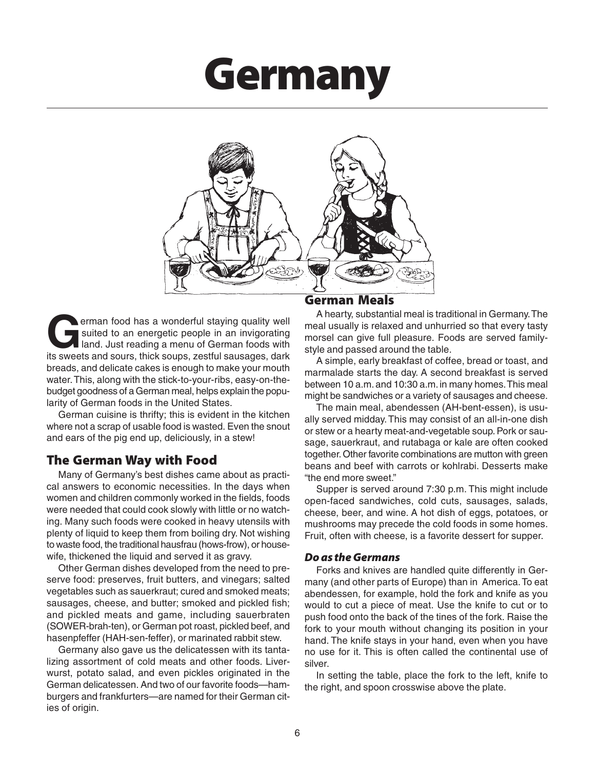# **Germany**



**G**erman food has a wonderful staying quality well suited to an energetic people in an invigorating land. Just reading a menu of German foods with its sweets and sours, thick soups, zestful sausages, dark breads, and delicate cakes is enough to make your mouth water. This, along with the stick-to-your-ribs, easy-on-thebudget goodness of a German meal, helps explain the popularity of German foods in the United States.

German cuisine is thrifty; this is evident in the kitchen where not a scrap of usable food is wasted. Even the snout and ears of the pig end up, deliciously, in a stew!

# **The German Way with Food**

Many of Germany's best dishes came about as practical answers to economic necessities. In the days when women and children commonly worked in the fields, foods were needed that could cook slowly with little or no watching. Many such foods were cooked in heavy utensils with plenty of liquid to keep them from boiling dry. Not wishing to waste food, the traditional hausfrau (hows-frow), or housewife, thickened the liquid and served it as gravy.

Other German dishes developed from the need to preserve food: preserves, fruit butters, and vinegars; salted vegetables such as sauerkraut; cured and smoked meats; sausages, cheese, and butter; smoked and pickled fish; and pickled meats and game, including sauerbraten (SOWER-brah-ten), or German pot roast, pickled beef, and hasenpfeffer (HAH-sen-feffer), or marinated rabbit stew.

Germany also gave us the delicatessen with its tantalizing assortment of cold meats and other foods. Liverwurst, potato salad, and even pickles originated in the German delicatessen. And two of our favorite foods—hamburgers and frankfurters—are named for their German cities of origin.

#### **German Meals**

A hearty, substantial meal is traditional in Germany. The meal usually is relaxed and unhurried so that every tasty morsel can give full pleasure. Foods are served familystyle and passed around the table.

A simple, early breakfast of coffee, bread or toast, and marmalade starts the day. A second breakfast is served between 10 a.m. and 10:30 a.m. in many homes. This meal might be sandwiches or a variety of sausages and cheese.

The main meal, abendessen (AH-bent-essen), is usually served midday. This may consist of an all-in-one dish or stew or a hearty meat-and-vegetable soup. Pork or sausage, sauerkraut, and rutabaga or kale are often cooked together. Other favorite combinations are mutton with green beans and beef with carrots or kohlrabi. Desserts make "the end more sweet."

Supper is served around 7:30 p.m. This might include open-faced sandwiches, cold cuts, sausages, salads, cheese, beer, and wine. A hot dish of eggs, potatoes, or mushrooms may precede the cold foods in some homes. Fruit, often with cheese, is a favorite dessert for supper.

#### *Do as the Germans*

Forks and knives are handled quite differently in Germany (and other parts of Europe) than in America. To eat abendessen, for example, hold the fork and knife as you would to cut a piece of meat. Use the knife to cut or to push food onto the back of the tines of the fork. Raise the fork to your mouth without changing its position in your hand. The knife stays in your hand, even when you have no use for it. This is often called the continental use of silver.

In setting the table, place the fork to the left, knife to the right, and spoon crosswise above the plate.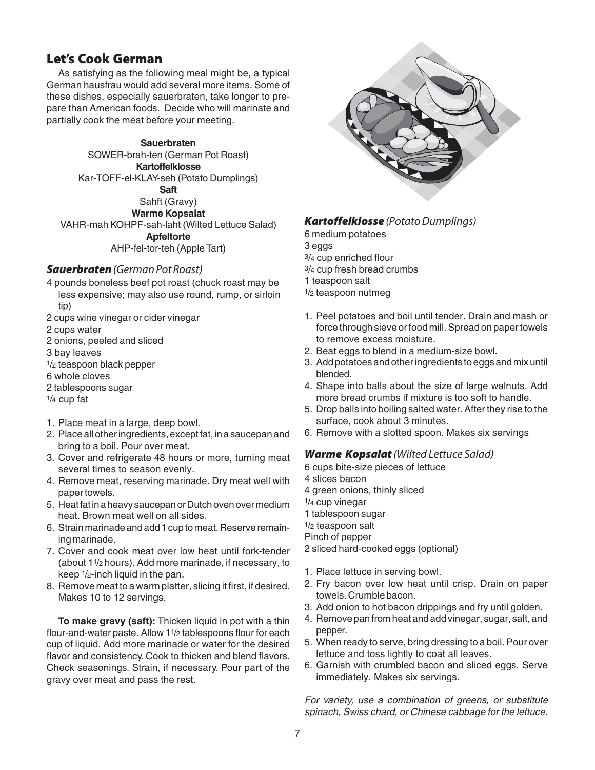# **Let's Cook German**

As satisfying as the following meal might be, a typical German hausfrau would add several more items. Some of these dishes, especially sauerbraten, take longer to prepare than American foods. Decide who will marinate and partially cook the meat before your meeting.

#### **Sauerbraten**

SOWER-brah-ten (German Pot Roast) **Kartoffelklosse** Kar-TOFF-el-KLAY-seh (Potato Dumplings) **Saft**

Sahft (Gravy)

**Warme Kopsalat**

VAHR-mah KOHPF-sah-laht (Wilted Lettuce Salad) **Apfeltorte** AHP-fel-tor-teh (Apple Tart)

#### **Sauerbraten** (German Pot Roast)

- 4 pounds boneless beef pot roast (chuck roast may be less expensive; may also use round, rump, or sirloin tip)
- 2 cups wine vinegar or cider vinegar
- 2 cups water
- 2 onions, peeled and sliced
- 3 bay leaves
- 1/2 teaspoon black pepper
- 6 whole cloves
- 2 tablespoons sugar
- 1/4 cup fat
- 1. Place meat in a large, deep bowl.
- 2. Place all other ingredients, except fat, in a saucepan and bring to a boil. Pour over meat.
- 3. Cover and refrigerate 48 hours or more, turning meat several times to season evenly.
- 4. Remove meat, reserving marinade. Dry meat well with paper towels.
- 5. Heat fat in a heavy saucepan or Dutch oven over medium heat. Brown meat well on all sides.
- 6. Strain marinade and add 1 cup to meat. Reserve remaining marinade.
- 7. Cover and cook meat over low heat until fork-tender (about 11/2 hours). Add more marinade, if necessary, to keep 1/2-inch liquid in the pan.
- 8. Remove meat to a warm platter, slicing it first, if desired. Makes 10 to 12 servings.

**To make gravy (saft):** Thicken liquid in pot with a thin flour-and-water paste. Allow 11/2 tablespoons flour for each cup of liquid. Add more marinade or water for the desired flavor and consistency. Cook to thicken and blend flavors. Check seasonings. Strain, if necessary. Pour part of the gravy over meat and pass the rest.



#### *Kartoffelklosse* (Potato Dumplings)

6 medium potatoes

3 eggs

3/4 cup enriched flour

3/4 cup fresh bread crumbs

1 teaspoon salt

- 1/2 teaspoon nutmeg
- 1. Peel potatoes and boil until tender. Drain and mash or force through sieve or food mill. Spread on paper towels to remove excess moisture.
- 2. Beat eggs to blend in a medium-size bowl.
- 3. Add potatoes and other ingredients to eggs and mix until blended.
- 4. Shape into balls about the size of large walnuts. Add more bread crumbs if mixture is too soft to handle.
- 5. Drop balls into boiling salted water. After they rise to the surface, cook about 3 minutes.
- 6. Remove with a slotted spoon. Makes six servings

#### *Warme Kopsalat* (Wilted Lettuce Salad)

6 cups bite-size pieces of lettuce

4 slices bacon

4 green onions, thinly sliced

1/4 cup vinegar

- 1 tablespoon sugar
- 1/2 teaspoon salt

Pinch of pepper

- 2 sliced hard-cooked eggs (optional)
- 1. Place lettuce in serving bowl.
- 2. Fry bacon over low heat until crisp. Drain on paper towels. Crumble bacon.
- 3. Add onion to hot bacon drippings and fry until golden.
- 4. Remove pan from heat and add vinegar, sugar, salt, and pepper.
- 5. When ready to serve, bring dressing to a boil. Pour over lettuce and toss lightly to coat all leaves.
- 6. Garnish with crumbled bacon and sliced eggs. Serve immediately. Makes six servings.

For variety, use a combination of greens, or substitute spinach, Swiss chard, or Chinese cabbage for the lettuce.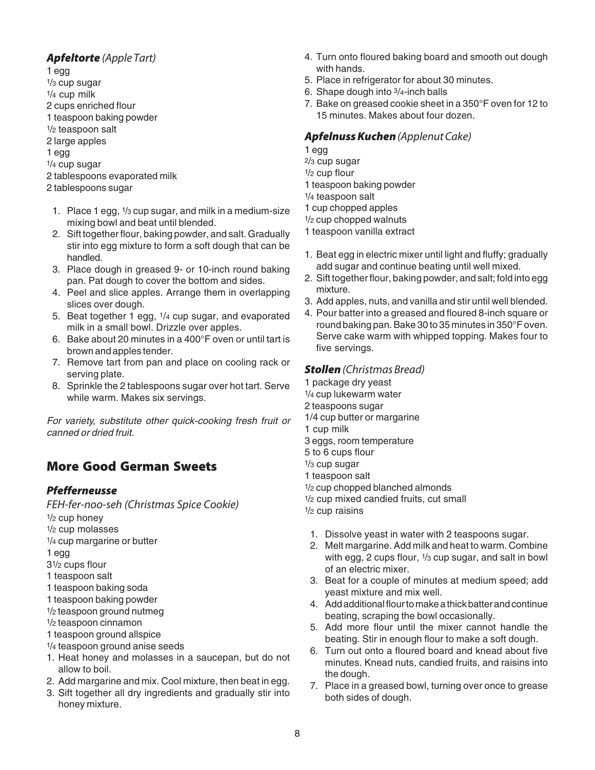#### *Apfeltorte* (Apple Tart)

- 1 egg 1/3 cup sugar 1/4 cup milk 2 cups enriched flour 1 teaspoon baking powder 1/2 teaspoon salt 2 large apples 1 egg 1/4 cup sugar 2 tablespoons evaporated milk 2 tablespoons sugar
- 1. Place 1 egg, 1/3 cup sugar, and milk in a medium-size mixing bowl and beat until blended.
- 2. Sift together flour, baking powder, and salt. Gradually stir into egg mixture to form a soft dough that can be handled.
- 3. Place dough in greased 9- or 10-inch round baking pan. Pat dough to cover the bottom and sides.
- 4. Peel and slice apples. Arrange them in overlapping slices over dough.
- 5. Beat together 1 egg, 1/4 cup sugar, and evaporated milk in a small bowl. Drizzle over apples.
- 6. Bake about 20 minutes in a 400°F oven or until tart is brown and apples tender.
- 7. Remove tart from pan and place on cooling rack or serving plate.
- 8. Sprinkle the 2 tablespoons sugar over hot tart. Serve while warm. Makes six servings.

For variety, substitute other quick-cooking fresh fruit or canned or dried fruit.

# **More Good German Sweets**

#### *Pfefferneusse*

FEH-fer-noo-seh (Christmas Spice Cookie)

- 1/2 cup honey
- 1/2 cup molasses
- 1/4 cup margarine or butter
- 1 egg
- 31/2 cups flour
- 1 teaspoon salt
- 1 teaspoon baking soda
- 1 teaspoon baking powder
- 1/2 teaspoon ground nutmeg
- 1/2 teaspoon cinnamon
- 1 teaspoon ground allspice
- 1/4 teaspoon ground anise seeds
- 1. Heat honey and molasses in a saucepan, but do not allow to boil.
- 2. Add margarine and mix. Cool mixture, then beat in egg.
- 3. Sift together all dry ingredients and gradually stir into honey mixture.
- 4. Turn onto floured baking board and smooth out dough with hands.
- 5. Place in refrigerator for about 30 minutes.
- 6. Shape dough into 3/4-inch balls
- 7. Bake on greased cookie sheet in a 350°F oven for 12 to 15 minutes. Makes about four dozen.

#### *Apfelnuss Kuchen* (Applenut Cake)

- 1 egg 2/3 cup sugar 1/2 cup flour
- 1 teaspoon baking powder
- 1/4 teaspoon salt
- 1 cup chopped apples
- 1/2 cup chopped walnuts
- 1 teaspoon vanilla extract
- 1. Beat egg in electric mixer until light and fluffy; gradually add sugar and continue beating until well mixed.
- 2. Sift together flour, baking powder, and salt; fold into egg mixture.
- 3. Add apples, nuts, and vanilla and stir until well blended.
- 4. Pour batter into a greased and floured 8-inch square or round baking pan. Bake 30 to 35 minutes in 350°F oven. Serve cake warm with whipped topping. Makes four to five servings.

#### *Stollen* (Christmas Bread)

- 1 package dry yeast 1/4 cup lukewarm water 2 teaspoons sugar
	- 1/4 cup butter or margarine
	- 1 cup milk
	- 3 eggs, room temperature
	- 5 to 6 cups flour
	- 1/3 cup sugar
	- 1 teaspoon salt
	- 1/2 cup chopped blanched almonds
	- 1/2 cup mixed candied fruits, cut small
	- 1/2 cup raisins
	- 1. Dissolve yeast in water with 2 teaspoons sugar.
	- 2. Melt margarine. Add milk and heat to warm. Combine with egg, 2 cups flour, 1/3 cup sugar, and salt in bowl of an electric mixer.
	- 3. Beat for a couple of minutes at medium speed; add yeast mixture and mix well.
	- 4. Add additional flour to make a thick batter and continue beating, scraping the bowl occasionally.
	- 5. Add more flour until the mixer cannot handle the beating. Stir in enough flour to make a soft dough.
	- 6. Turn out onto a floured board and knead about five minutes. Knead nuts, candied fruits, and raisins into the dough.
	- 7. Place in a greased bowl, turning over once to grease both sides of dough.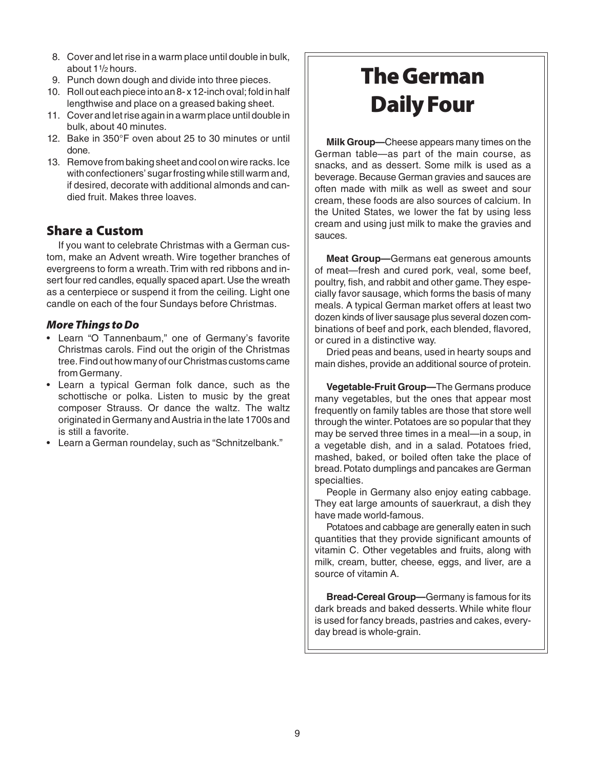- 8. Cover and let rise in a warm place until double in bulk, about 11/2 hours.
- 9. Punch down dough and divide into three pieces.
- 10. Roll out each piece into an 8- x 12-inch oval; fold in half lengthwise and place on a greased baking sheet.
- 11. Cover and let rise again in a warm place until double in bulk, about 40 minutes.
- 12. Bake in 350°F oven about 25 to 30 minutes or until done.
- 13. Remove from baking sheet and cool on wire racks. Ice with confectioners' sugar frosting while still warm and, if desired, decorate with additional almonds and candied fruit. Makes three loaves.

## **Share a Custom**

If you want to celebrate Christmas with a German custom, make an Advent wreath. Wire together branches of evergreens to form a wreath. Trim with red ribbons and insert four red candles, equally spaced apart. Use the wreath as a centerpiece or suspend it from the ceiling. Light one candle on each of the four Sundays before Christmas.

#### *More Things to Do*

- Learn "O Tannenbaum," one of Germany's favorite Christmas carols. Find out the origin of the Christmas tree. Find out how many of our Christmas customs came from Germany.
- Learn a typical German folk dance, such as the schottische or polka. Listen to music by the great composer Strauss. Or dance the waltz. The waltz originated in Germany and Austria in the late 1700s and is still a favorite.
- Learn a German roundelay, such as "Schnitzelbank."

# **The German Daily Four**

**Milk Group—**Cheese appears many times on the German table—as part of the main course, as snacks, and as dessert. Some milk is used as a beverage. Because German gravies and sauces are often made with milk as well as sweet and sour cream, these foods are also sources of calcium. In the United States, we lower the fat by using less cream and using just milk to make the gravies and sauces.

**Meat Group—**Germans eat generous amounts of meat—fresh and cured pork, veal, some beef, poultry, fish, and rabbit and other game. They especially favor sausage, which forms the basis of many meals. A typical German market offers at least two dozen kinds of liver sausage plus several dozen combinations of beef and pork, each blended, flavored, or cured in a distinctive way.

Dried peas and beans, used in hearty soups and main dishes, provide an additional source of protein.

**Vegetable-Fruit Group—**The Germans produce many vegetables, but the ones that appear most frequently on family tables are those that store well through the winter. Potatoes are so popular that they may be served three times in a meal—in a soup, in a vegetable dish, and in a salad. Potatoes fried, mashed, baked, or boiled often take the place of bread. Potato dumplings and pancakes are German specialties.

People in Germany also enjoy eating cabbage. They eat large amounts of sauerkraut, a dish they have made world-famous.

Potatoes and cabbage are generally eaten in such quantities that they provide significant amounts of vitamin C. Other vegetables and fruits, along with milk, cream, butter, cheese, eggs, and liver, are a source of vitamin A.

**Bread-Cereal Group—**Germany is famous for its dark breads and baked desserts. While white flour is used for fancy breads, pastries and cakes, everyday bread is whole-grain.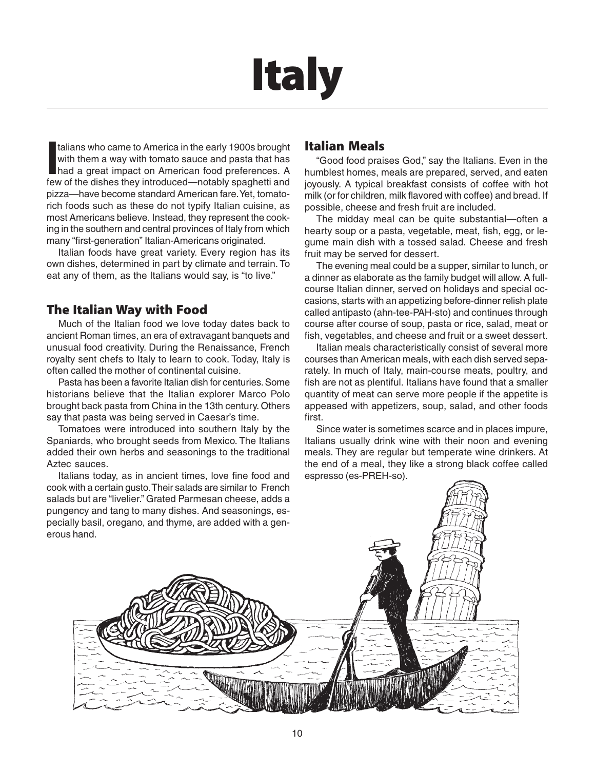# **Italy**

Italians who came to America in the early 1900s brought with them a way with tomato sauce and pasta that has had a great impact on American food preferences. A few of the dishes they introduced—notably spaghetti and talians who came to America in the early 1900s brought with them a way with tomato sauce and pasta that has had a great impact on American food preferences. A pizza—have become standard American fare. Yet, tomatorich foods such as these do not typify Italian cuisine, as most Americans believe. Instead, they represent the cooking in the southern and central provinces of Italy from which many "first-generation" Italian-Americans originated.

Italian foods have great variety. Every region has its own dishes, determined in part by climate and terrain. To eat any of them, as the Italians would say, is "to live."

## **The Italian Way with Food**

Much of the Italian food we love today dates back to ancient Roman times, an era of extravagant banquets and unusual food creativity. During the Renaissance, French royalty sent chefs to Italy to learn to cook. Today, Italy is often called the mother of continental cuisine.

Pasta has been a favorite Italian dish for centuries. Some historians believe that the Italian explorer Marco Polo brought back pasta from China in the 13th century. Others say that pasta was being served in Caesar's time.

Tomatoes were introduced into southern Italy by the Spaniards, who brought seeds from Mexico. The Italians added their own herbs and seasonings to the traditional Aztec sauces.

Italians today, as in ancient times, love fine food and cook with a certain gusto. Their salads are similar to French salads but are "livelier." Grated Parmesan cheese, adds a pungency and tang to many dishes. And seasonings, especially basil, oregano, and thyme, are added with a generous hand.

## **Italian Meals**

"Good food praises God," say the Italians. Even in the humblest homes, meals are prepared, served, and eaten joyously. A typical breakfast consists of coffee with hot milk (or for children, milk flavored with coffee) and bread. If possible, cheese and fresh fruit are included.

The midday meal can be quite substantial—often a hearty soup or a pasta, vegetable, meat, fish, egg, or legume main dish with a tossed salad. Cheese and fresh fruit may be served for dessert.

The evening meal could be a supper, similar to lunch, or a dinner as elaborate as the family budget will allow. A fullcourse Italian dinner, served on holidays and special occasions, starts with an appetizing before-dinner relish plate called antipasto (ahn-tee-PAH-sto) and continues through course after course of soup, pasta or rice, salad, meat or fish, vegetables, and cheese and fruit or a sweet dessert.

Italian meals characteristically consist of several more courses than American meals, with each dish served separately. In much of Italy, main-course meats, poultry, and fish are not as plentiful. Italians have found that a smaller quantity of meat can serve more people if the appetite is appeased with appetizers, soup, salad, and other foods first.

Since water is sometimes scarce and in places impure, Italians usually drink wine with their noon and evening meals. They are regular but temperate wine drinkers. At the end of a meal, they like a strong black coffee called espresso (es-PREH-so).

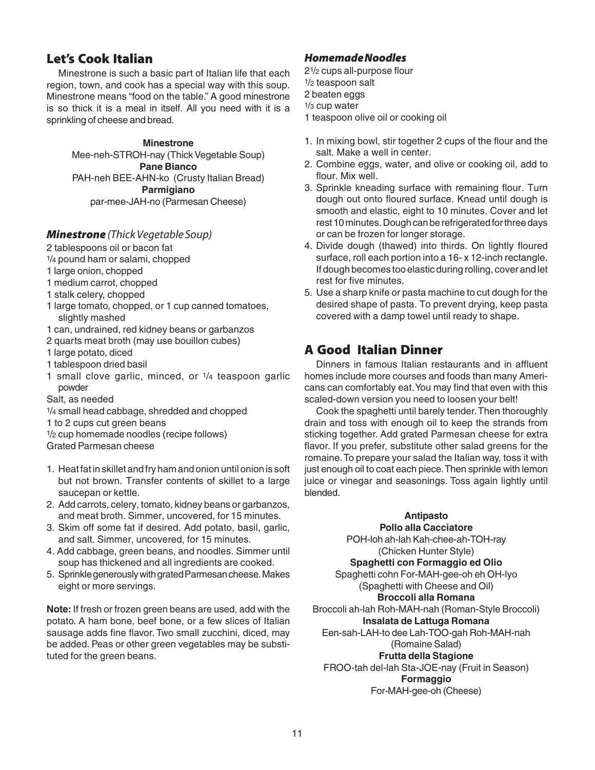# **Let's Cook Italian**

Minestrone is such a basic part of Italian life that each region, town, and cook has a special way with this soup. Minestrone means "food on the table." A good minestrone is so thick it is a meal in itself. All you need with it is a sprinkling of cheese and bread.

#### **Minestrone**

Mee-neh-STROH-nay (Thick Vegetable Soup) **Pane Bianco** PAH-neh BEE-AHN-ko (Crusty Italian Bread) **Parmigiano** par-mee-JAH-no (Parmesan Cheese)

#### *Minestrone* (Thick Vegetable Soup)

- 2 tablespoons oil or bacon fat
- 1/4 pound ham or salami, chopped
- 1 large onion, chopped
- 1 medium carrot, chopped
- 1 stalk celery, chopped
- 1 large tomato, chopped, or 1 cup canned tomatoes, slightly mashed
- 1 can, undrained, red kidney beans or garbanzos
- 2 quarts meat broth (may use bouillon cubes)
- 1 large potato, diced
- 1 tablespoon dried basil
- 1 small clove garlic, minced, or 1/4 teaspoon garlic powder
- Salt, as needed
- 1/4 small head cabbage, shredded and chopped
- 1 to 2 cups cut green beans
- 1/2 cup homemade noodles (recipe follows)
- Grated Parmesan cheese
- 1. Heat fat in skillet and fry ham and onion until onion is soft but not brown. Transfer contents of skillet to a large saucepan or kettle.
- 2. Add carrots, celery, tomato, kidney beans or garbanzos, and meat broth. Simmer, uncovered, for 15 minutes.
- 3. Skim off some fat if desired. Add potato, basil, garlic, and salt. Simmer, uncovered, for 15 minutes.
- 4. Add cabbage, green beans, and noodles. Simmer until soup has thickened and all ingredients are cooked.
- 5. Sprinkle generously with grated Parmesan cheese. Makes eight or more servings.

**Note:** If fresh or frozen green beans are used, add with the potato. A ham bone, beef bone, or a few slices of Italian sausage adds fine flavor. Two small zucchini, diced, may be added. Peas or other green vegetables may be substituted for the green beans.

#### *Homemade Noodles*

- 21/2 cups all-purpose flour
- 1/2 teaspoon salt
- 2 beaten eggs
- 1/3 cup water
- 1 teaspoon olive oil or cooking oil
- 1. In mixing bowl, stir together 2 cups of the flour and the salt. Make a well in center.
- 2. Combine eggs, water, and olive or cooking oil, add to flour. Mix well.
- 3. Sprinkle kneading surface with remaining flour. Turn dough out onto floured surface. Knead until dough is smooth and elastic, eight to 10 minutes. Cover and let rest 10 minutes. Dough can be refrigerated for three days or can be frozen for longer storage.
- 4. Divide dough (thawed) into thirds. On lightly floured surface, roll each portion into a 16- x 12-inch rectangle. If dough becomes too elastic during rolling, cover and let rest for five minutes.
- 5. Use a sharp knife or pasta machine to cut dough for the desired shape of pasta. To prevent drying, keep pasta covered with a damp towel until ready to shape.

# **A Good Italian Dinner**

Dinners in famous Italian restaurants and in affluent homes include more courses and foods than many Americans can comfortably eat. You may find that even with this scaled-down version you need to loosen your belt!

Cook the spaghetti until barely tender. Then thoroughly drain and toss with enough oil to keep the strands from sticking together. Add grated Parmesan cheese for extra flavor. If you prefer, substitute other salad greens for the romaine. To prepare your salad the Italian way, toss it with just enough oil to coat each piece. Then sprinkle with lemon juice or vinegar and seasonings. Toss again lightly until blended.

#### **Antipasto**

**Pollo alla Cacciatore** POH-loh ah-lah Kah-chee-ah-TOH-ray (Chicken Hunter Style)

**Spaghetti con Formaggio ed Olio**

Spaghetti cohn For-MAH-gee-oh eh OH-lyo

(Spaghetti with Cheese and Oil)

**Broccoli alla Romana**

Broccoli ah-lah Roh-MAH-nah (Roman-Style Broccoli)

**Insalata de Lattuga Romana** Een-sah-LAH-to dee Lah-TOO-gah Roh-MAH-nah

(Romaine Salad)

**Frutta della Stagione**

FROO-tah del-lah Sta-JOE-nay (Fruit in Season) **Formaggio**

For-MAH-gee-oh (Cheese)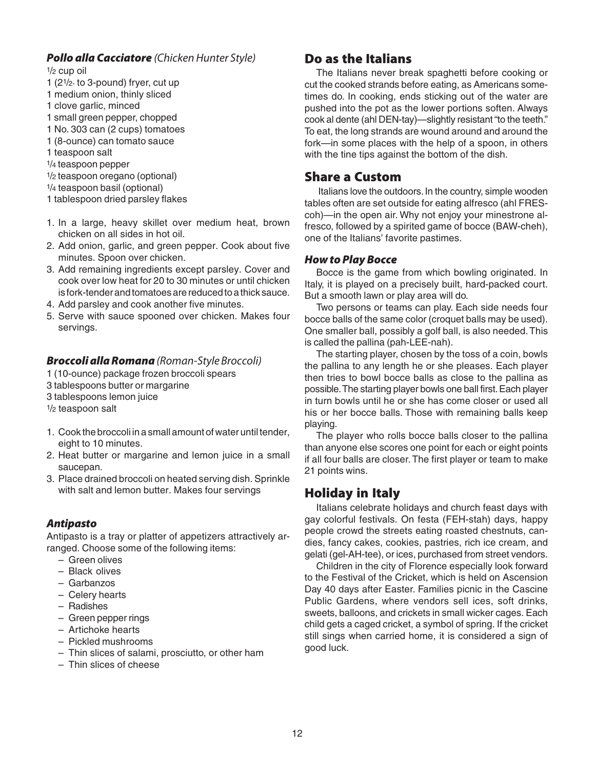#### *Pollo alla Cacciatore* (Chicken Hunter Style)

 $1/2$  cup oil

- 1 (21/2- to 3-pound) fryer, cut up
- 1 medium onion, thinly sliced
- 1 clove garlic, minced
- 1 small green pepper, chopped
- 1 No. 303 can (2 cups) tomatoes
- 1 (8-ounce) can tomato sauce
- 1 teaspoon salt
- 1/4 teaspoon pepper
- 1/2 teaspoon oregano (optional)
- 1/4 teaspoon basil (optional)
- 1 tablespoon dried parsley flakes
- 1. In a large, heavy skillet over medium heat, brown chicken on all sides in hot oil.
- 2. Add onion, garlic, and green pepper. Cook about five minutes. Spoon over chicken.
- 3. Add remaining ingredients except parsley. Cover and cook over low heat for 20 to 30 minutes or until chicken is fork-tender and tomatoes are reduced to a thick sauce.
- 4. Add parsley and cook another five minutes.
- 5. Serve with sauce spooned over chicken. Makes four servings.

#### *Broccoli alla Romana* (Roman-Style Broccoli)

- 1 (10-ounce) package frozen broccoli spears
- 3 tablespoons butter or margarine
- 3 tablespoons lemon juice
- 1/2 teaspoon salt
- 1. Cook the broccoli in a small amount of water until tender, eight to 10 minutes.
- 2. Heat butter or margarine and lemon juice in a small saucepan.
- 3. Place drained broccoli on heated serving dish. Sprinkle with salt and lemon butter. Makes four servings

#### *Antipasto*

Antipasto is a tray or platter of appetizers attractively arranged. Choose some of the following items:

- Green olives
- Black olives
- Garbanzos
- Celery hearts
- Radishes
- Green pepper rings
- Artichoke hearts
- Pickled mushrooms
- Thin slices of salami, prosciutto, or other ham
- Thin slices of cheese

# **Do as the Italians**

The Italians never break spaghetti before cooking or cut the cooked strands before eating, as Americans sometimes do. In cooking, ends sticking out of the water are pushed into the pot as the lower portions soften. Always cook al dente (ahl DEN-tay)—slightly resistant "to the teeth." To eat, the long strands are wound around and around the fork—in some places with the help of a spoon, in others with the tine tips against the bottom of the dish.

#### **Share a Custom**

 Italians love the outdoors. In the country, simple wooden tables often are set outside for eating alfresco (ahl FREScoh)—in the open air. Why not enjoy your minestrone alfresco, followed by a spirited game of bocce (BAW-cheh), one of the Italians' favorite pastimes.

#### *How to Play Bocce*

Bocce is the game from which bowling originated. In Italy, it is played on a precisely built, hard-packed court. But a smooth lawn or play area will do.

Two persons or teams can play. Each side needs four bocce balls of the same color (croquet balls may be used). One smaller ball, possibly a golf ball, is also needed. This is called the pallina (pah-LEE-nah).

The starting player, chosen by the toss of a coin, bowls the pallina to any length he or she pleases. Each player then tries to bowl bocce balls as close to the pallina as possible. The starting player bowls one ball first. Each player in turn bowls until he or she has come closer or used all his or her bocce balls. Those with remaining balls keep playing.

The player who rolls bocce balls closer to the pallina than anyone else scores one point for each or eight points if all four balls are closer. The first player or team to make 21 points wins.

# **Holiday in Italy**

Italians celebrate holidays and church feast days with gay colorful festivals. On festa (FEH-stah) days, happy people crowd the streets eating roasted chestnuts, candies, fancy cakes, cookies, pastries, rich ice cream, and gelati (gel-AH-tee), or ices, purchased from street vendors.

Children in the city of Florence especially look forward to the Festival of the Cricket, which is held on Ascension Day 40 days after Easter. Families picnic in the Cascine Public Gardens, where vendors sell ices, soft drinks, sweets, balloons, and crickets in small wicker cages. Each child gets a caged cricket, a symbol of spring. If the cricket still sings when carried home, it is considered a sign of good luck.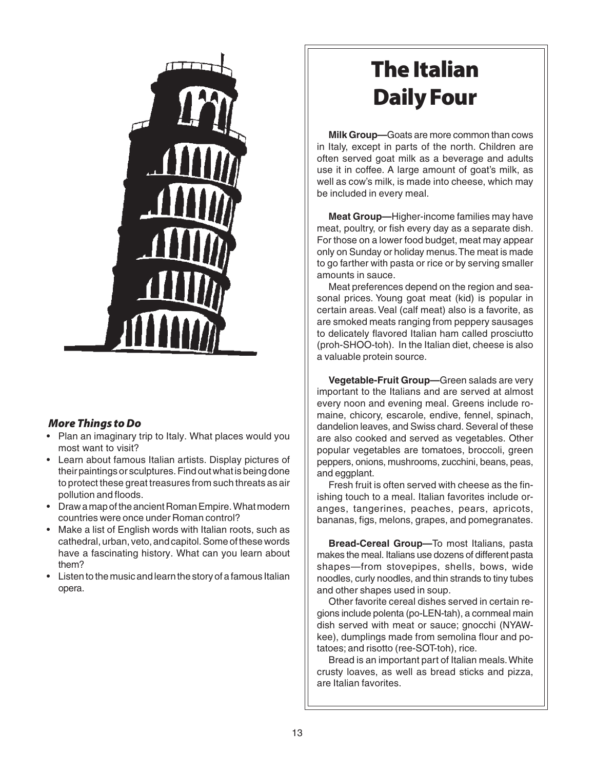

#### *More Things to Do*

- Plan an imaginary trip to Italy. What places would you most want to visit?
- Learn about famous Italian artists. Display pictures of their paintings or sculptures. Find out what is being done to protect these great treasures from such threats as air pollution and floods.
- Draw a map of the ancient Roman Empire. What modern countries were once under Roman control?
- Make a list of English words with Italian roots, such as cathedral, urban, veto, and capitol. Some of these words have a fascinating history. What can you learn about them?
- Listen to the music and learn the story of a famous Italian opera.

# **The Italian Daily Four**

**Milk Group—**Goats are more common than cows in Italy, except in parts of the north. Children are often served goat milk as a beverage and adults use it in coffee. A large amount of goat's milk, as well as cow's milk, is made into cheese, which may be included in every meal.

**Meat Group—**Higher-income families may have meat, poultry, or fish every day as a separate dish. For those on a lower food budget, meat may appear only on Sunday or holiday menus. The meat is made to go farther with pasta or rice or by serving smaller amounts in sauce.

Meat preferences depend on the region and seasonal prices. Young goat meat (kid) is popular in certain areas. Veal (calf meat) also is a favorite, as are smoked meats ranging from peppery sausages to delicately flavored Italian ham called prosciutto (proh-SHOO-toh). In the Italian diet, cheese is also a valuable protein source.

**Vegetable-Fruit Group—**Green salads are very important to the Italians and are served at almost every noon and evening meal. Greens include romaine, chicory, escarole, endive, fennel, spinach, dandelion leaves, and Swiss chard. Several of these are also cooked and served as vegetables. Other popular vegetables are tomatoes, broccoli, green peppers, onions, mushrooms, zucchini, beans, peas, and eggplant.

Fresh fruit is often served with cheese as the finishing touch to a meal. Italian favorites include oranges, tangerines, peaches, pears, apricots, bananas, figs, melons, grapes, and pomegranates.

**Bread-Cereal Group—**To most Italians, pasta makes the meal. Italians use dozens of different pasta shapes—from stovepipes, shells, bows, wide noodles, curly noodles, and thin strands to tiny tubes and other shapes used in soup.

Other favorite cereal dishes served in certain regions include polenta (po-LEN-tah), a cornmeal main dish served with meat or sauce; gnocchi (NYAWkee), dumplings made from semolina flour and potatoes; and risotto (ree-SOT-toh), rice.

Bread is an important part of Italian meals. White crusty loaves, as well as bread sticks and pizza, are Italian favorites.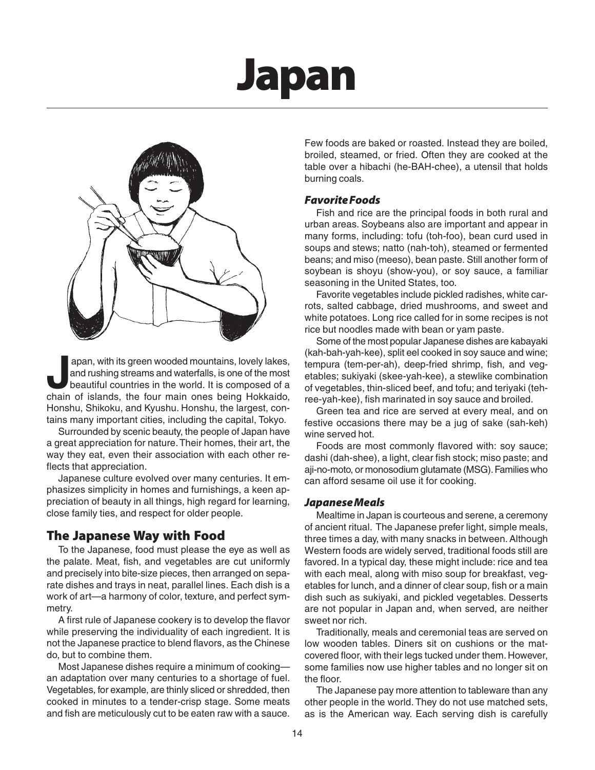# **Japan**



apan, with its green wooded mountains, lovely lakes,<br>and rushing streams and waterfalls, is one of the most<br>beautiful countries in the world. It is composed of a<br>chain of islands, the four main ones being Hokkaido and rushing streams and waterfalls, is one of the most beautiful countries in the world. It is composed of a chain of islands, the four main ones being Hokkaido, Honshu, Shikoku, and Kyushu. Honshu, the largest, contains many important cities, including the capital, Tokyo.

Surrounded by scenic beauty, the people of Japan have a great appreciation for nature. Their homes, their art, the way they eat, even their association with each other reflects that appreciation.

Japanese culture evolved over many centuries. It emphasizes simplicity in homes and furnishings, a keen appreciation of beauty in all things, high regard for learning, close family ties, and respect for older people.

#### **The Japanese Way with Food**

To the Japanese, food must please the eye as well as the palate. Meat, fish, and vegetables are cut uniformly and precisely into bite-size pieces, then arranged on separate dishes and trays in neat, parallel lines. Each dish is a work of art—a harmony of color, texture, and perfect symmetry.

A first rule of Japanese cookery is to develop the flavor while preserving the individuality of each ingredient. It is not the Japanese practice to blend flavors, as the Chinese do, but to combine them.

Most Japanese dishes require a minimum of cooking an adaptation over many centuries to a shortage of fuel. Vegetables, for example, are thinly sliced or shredded, then cooked in minutes to a tender-crisp stage. Some meats and fish are meticulously cut to be eaten raw with a sauce.

Few foods are baked or roasted. Instead they are boiled, broiled, steamed, or fried. Often they are cooked at the table over a hibachi (he-BAH-chee), a utensil that holds burning coals.

#### *Favorite Foods*

Fish and rice are the principal foods in both rural and urban areas. Soybeans also are important and appear in many forms, including: tofu (toh-foo), bean curd used in soups and stews; natto (nah-toh), steamed or fermented beans; and miso (meeso), bean paste. Still another form of soybean is shoyu (show-you), or soy sauce, a familiar seasoning in the United States, too.

Favorite vegetables include pickled radishes, white carrots, salted cabbage, dried mushrooms, and sweet and white potatoes. Long rice called for in some recipes is not rice but noodles made with bean or yam paste.

Some of the most popular Japanese dishes are kabayaki (kah-bah-yah-kee), split eel cooked in soy sauce and wine; tempura (tem-per-ah), deep-fried shrimp, fish, and vegetables; sukiyaki (skee-yah-kee), a stewlike combination of vegetables, thin-sliced beef, and tofu; and teriyaki (tehree-yah-kee), fish marinated in soy sauce and broiled.

Green tea and rice are served at every meal, and on festive occasions there may be a jug of sake (sah-keh) wine served hot.

Foods are most commonly flavored with: soy sauce; dashi (dah-shee), a light, clear fish stock; miso paste; and aji-no-moto, or monosodium glutamate (MSG). Families who can afford sesame oil use it for cooking.

#### *Japanese Meals*

Mealtime in Japan is courteous and serene, a ceremony of ancient ritual. The Japanese prefer light, simple meals, three times a day, with many snacks in between. Although Western foods are widely served, traditional foods still are favored. In a typical day, these might include: rice and tea with each meal, along with miso soup for breakfast, vegetables for lunch, and a dinner of clear soup, fish or a main dish such as sukiyaki, and pickled vegetables. Desserts are not popular in Japan and, when served, are neither sweet nor rich.

Traditionally, meals and ceremonial teas are served on low wooden tables. Diners sit on cushions or the matcovered floor, with their legs tucked under them. However, some families now use higher tables and no longer sit on the floor.

The Japanese pay more attention to tableware than any other people in the world. They do not use matched sets, as is the American way. Each serving dish is carefully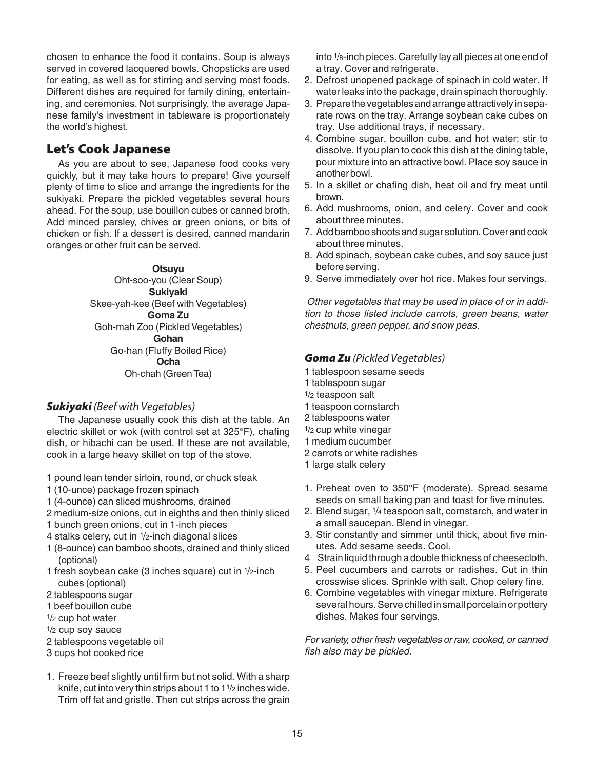chosen to enhance the food it contains. Soup is always served in covered lacquered bowls. Chopsticks are used for eating, as well as for stirring and serving most foods. Different dishes are required for family dining, entertaining, and ceremonies. Not surprisingly, the average Japanese family's investment in tableware is proportionately the world's highest.

## **Let's Cook Japanese**

As you are about to see, Japanese food cooks very quickly, but it may take hours to prepare! Give yourself plenty of time to slice and arrange the ingredients for the sukiyaki. Prepare the pickled vegetables several hours ahead. For the soup, use bouillon cubes or canned broth. Add minced parsley, chives or green onions, or bits of chicken or fish. If a dessert is desired, canned mandarin oranges or other fruit can be served.

#### **Otsuyu**

Oht-soo-you (Clear Soup) **Sukiyaki** Skee-yah-kee (Beef with Vegetables) **Goma Zu** Goh-mah Zoo (Pickled Vegetables) **Gohan** Go-han (Fluffy Boiled Rice) **Ocha** Oh-chah (Green Tea)

#### **Sukiyaki** (Beef with Vegetables)

The Japanese usually cook this dish at the table. An electric skillet or wok (with control set at 325°F), chafing dish, or hibachi can be used. If these are not available, cook in a large heavy skillet on top of the stove.

1 pound lean tender sirloin, round, or chuck steak

- 1 (10-unce) package frozen spinach
- 1 (4-ounce) can sliced mushrooms, drained
- 2 medium-size onions, cut in eighths and then thinly sliced
- 1 bunch green onions, cut in 1-inch pieces
- 4 stalks celery, cut in 1/2-inch diagonal slices
- 1 (8-ounce) can bamboo shoots, drained and thinly sliced (optional)
- 1 fresh soybean cake (3 inches square) cut in 1/2-inch cubes (optional)
- 2 tablespoons sugar
- 1 beef bouillon cube
- 1/2 cup hot water
- $1/2$  cup soy sauce
- 2 tablespoons vegetable oil
- 3 cups hot cooked rice
- 1. Freeze beef slightly until firm but not solid. With a sharp knife, cut into very thin strips about 1 to 1<sup>1</sup>/<sub>2</sub> inches wide. Trim off fat and gristle. Then cut strips across the grain

into 1/8-inch pieces. Carefully lay all pieces at one end of a tray. Cover and refrigerate.

- 2. Defrost unopened package of spinach in cold water. If water leaks into the package, drain spinach thoroughly.
- 3. Prepare the vegetables and arrange attractively in separate rows on the tray. Arrange soybean cake cubes on tray. Use additional trays, if necessary.
- 4. Combine sugar, bouillon cube, and hot water; stir to dissolve. If you plan to cook this dish at the dining table, pour mixture into an attractive bowl. Place soy sauce in another bowl.
- 5. In a skillet or chafing dish, heat oil and fry meat until brown.
- 6. Add mushrooms, onion, and celery. Cover and cook about three minutes.
- 7. Add bamboo shoots and sugar solution. Cover and cook about three minutes.
- 8. Add spinach, soybean cake cubes, and soy sauce just before serving.
- 9. Serve immediately over hot rice. Makes four servings.

Other vegetables that may be used in place of or in addition to those listed include carrots, green beans, water chestnuts, green pepper, and snow peas.

#### *Goma Zu* (Pickled Vegetables)

- 1 tablespoon sesame seeds
- 1 tablespoon sugar
- 1/2 teaspoon salt
- 1 teaspoon cornstarch
- 2 tablespoons water
- 1/2 cup white vinegar
- 1 medium cucumber
- 2 carrots or white radishes
- 1 large stalk celery
- 1. Preheat oven to 350°F (moderate). Spread sesame seeds on small baking pan and toast for five minutes.
- 2. Blend sugar, 1/4 teaspoon salt, cornstarch, and water in a small saucepan. Blend in vinegar.
- 3. Stir constantly and simmer until thick, about five minutes. Add sesame seeds. Cool.
- 4 Strain liquid through a double thickness of cheesecloth.
- 5. Peel cucumbers and carrots or radishes. Cut in thin crosswise slices. Sprinkle with salt. Chop celery fine.
- 6. Combine vegetables with vinegar mixture. Refrigerate several hours. Serve chilled in small porcelain or pottery dishes. Makes four servings.

For variety, other fresh vegetables or raw, cooked, or canned fish also may be pickled.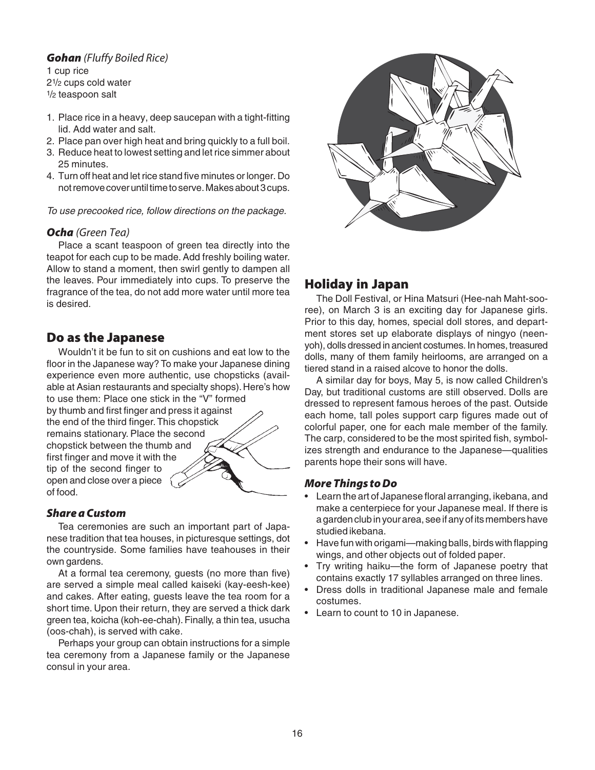#### **Gohan** (Fluffy Boiled Rice)

1 cup rice 21/2 cups cold water 1/2 teaspoon salt

- 1. Place rice in a heavy, deep saucepan with a tight-fitting lid. Add water and salt.
- 2. Place pan over high heat and bring quickly to a full boil.
- 3. Reduce heat to lowest setting and let rice simmer about 25 minutes.
- 4. Turn off heat and let rice stand five minutes or longer. Do not remove cover until time to serve. Makes about 3 cups.

To use precooked rice, follow directions on the package.

#### *Ocha* (Green Tea)

Place a scant teaspoon of green tea directly into the teapot for each cup to be made. Add freshly boiling water. Allow to stand a moment, then swirl gently to dampen all the leaves. Pour immediately into cups. To preserve the fragrance of the tea, do not add more water until more tea is desired.

## **Do as the Japanese**

Wouldn't it be fun to sit on cushions and eat low to the floor in the Japanese way? To make your Japanese dining experience even more authentic, use chopsticks (available at Asian restaurants and specialty shops). Here's how to use them: Place one stick in the "V" formed

by thumb and first finger and press it against the end of the third finger. This chopstick remains stationary. Place the second chopstick between the thumb and first finger and move it with the tip of the second finger to open and close over a piece of food.

#### *Share a Custom*

Tea ceremonies are such an important part of Japanese tradition that tea houses, in picturesque settings, dot the countryside. Some families have teahouses in their own gardens.

At a formal tea ceremony, guests (no more than five) are served a simple meal called kaiseki (kay-eesh-kee) and cakes. After eating, guests leave the tea room for a short time. Upon their return, they are served a thick dark green tea, koicha (koh-ee-chah). Finally, a thin tea, usucha (oos-chah), is served with cake.

Perhaps your group can obtain instructions for a simple tea ceremony from a Japanese family or the Japanese consul in your area.



# **Holiday in Japan**

The Doll Festival, or Hina Matsuri (Hee-nah Maht-sooree), on March 3 is an exciting day for Japanese girls. Prior to this day, homes, special doll stores, and department stores set up elaborate displays of ningyo (neenyoh), dolls dressed in ancient costumes. In homes, treasured dolls, many of them family heirlooms, are arranged on a tiered stand in a raised alcove to honor the dolls.

A similar day for boys, May 5, is now called Children's Day, but traditional customs are still observed. Dolls are dressed to represent famous heroes of the past. Outside each home, tall poles support carp figures made out of colorful paper, one for each male member of the family. The carp, considered to be the most spirited fish, symbolizes strength and endurance to the Japanese—qualities parents hope their sons will have.

#### *More Things to Do*

- Learn the art of Japanese floral arranging, ikebana, and make a centerpiece for your Japanese meal. If there is a garden club in your area, see if any of its members have studied ikebana.
- Have fun with origami—making balls, birds with flapping wings, and other objects out of folded paper.
- Try writing haiku—the form of Japanese poetry that contains exactly 17 syllables arranged on three lines.
- Dress dolls in traditional Japanese male and female costumes.
- Learn to count to 10 in Japanese.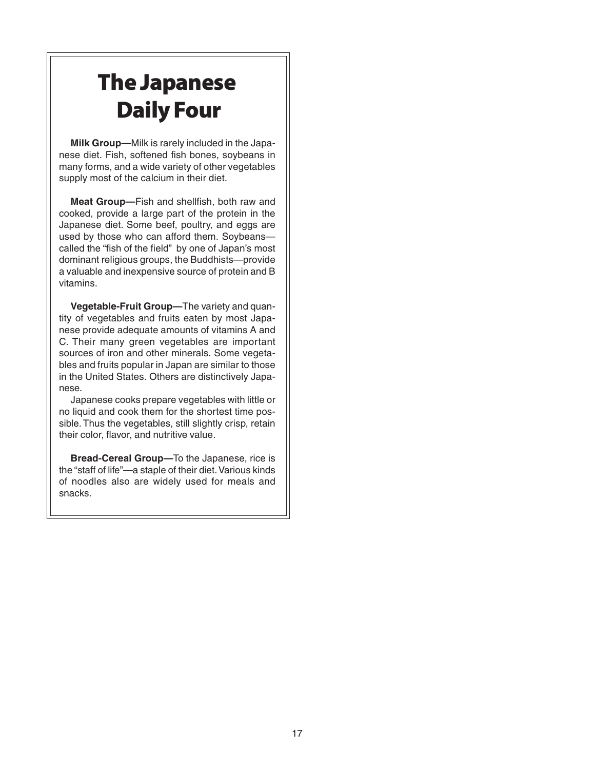# **The Japanese Daily Four**

**Milk Group—**Milk is rarely included in the Japanese diet. Fish, softened fish bones, soybeans in many forms, and a wide variety of other vegetables supply most of the calcium in their diet.

**Meat Group—**Fish and shellfish, both raw and cooked, provide a large part of the protein in the Japanese diet. Some beef, poultry, and eggs are used by those who can afford them. Soybeans called the "fish of the field" by one of Japan's most dominant religious groups, the Buddhists—provide a valuable and inexpensive source of protein and B vitamins.

**Vegetable-Fruit Group—**The variety and quantity of vegetables and fruits eaten by most Japanese provide adequate amounts of vitamins A and C. Their many green vegetables are important sources of iron and other minerals. Some vegetables and fruits popular in Japan are similar to those in the United States. Others are distinctively Japanese.

Japanese cooks prepare vegetables with little or no liquid and cook them for the shortest time possible. Thus the vegetables, still slightly crisp, retain their color, flavor, and nutritive value.

**Bread-Cereal Group—**To the Japanese, rice is the "staff of life"—a staple of their diet. Various kinds of noodles also are widely used for meals and snacks.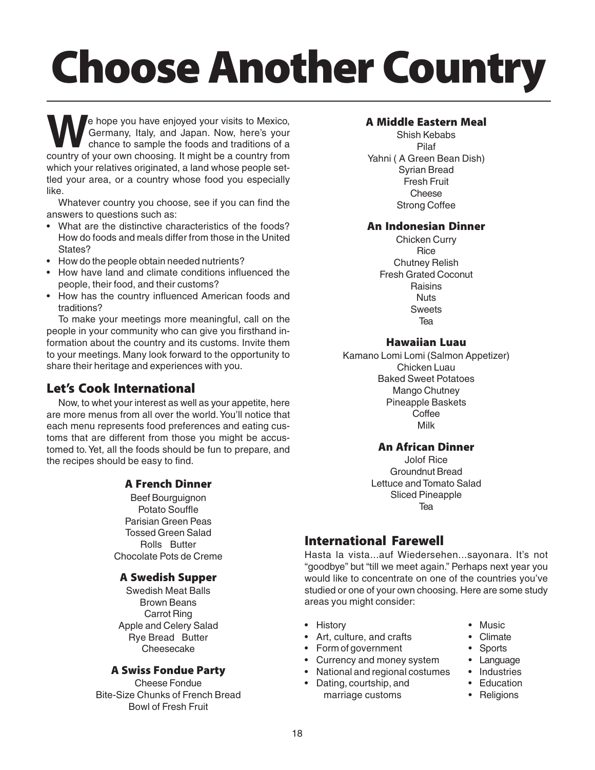# **Choose Another Country**

We hope you have enjoyed your visits to Mexico,<br>Germany, Italy, and Japan. Now, here's your<br>chance to sample the foods and traditions of a<br>country of your own choosing. It might be a country from Germany, Italy, and Japan. Now, here's your chance to sample the foods and traditions of a country of your own choosing. It might be a country from which your relatives originated, a land whose people settled your area, or a country whose food you especially like.

Whatever country you choose, see if you can find the answers to questions such as:

- What are the distinctive characteristics of the foods? How do foods and meals differ from those in the United States?
- How do the people obtain needed nutrients?
- How have land and climate conditions influenced the people, their food, and their customs?
- How has the country influenced American foods and traditions?

To make your meetings more meaningful, call on the people in your community who can give you firsthand information about the country and its customs. Invite them to your meetings. Many look forward to the opportunity to share their heritage and experiences with you.

# **Let's Cook International**

Now, to whet your interest as well as your appetite, here are more menus from all over the world. You'll notice that each menu represents food preferences and eating customs that are different from those you might be accustomed to. Yet, all the foods should be fun to prepare, and the recipes should be easy to find.

#### **A French Dinner**

Beef Bourguignon Potato Souffle Parisian Green Peas Tossed Green Salad Rolls Butter Chocolate Pots de Creme

#### **A Swedish Supper**

Swedish Meat Balls Brown Beans Carrot Ring Apple and Celery Salad Rye Bread Butter Cheesecake

#### **A Swiss Fondue Party**

Cheese Fondue Bite-Size Chunks of French Bread Bowl of Fresh Fruit

#### **A Middle Eastern Meal**

Shish Kebabs Pilaf Yahni ( A Green Bean Dish) Syrian Bread Fresh Fruit **Cheese** Strong Coffee

#### **An Indonesian Dinner**

Chicken Curry **Rice** Chutney Relish Fresh Grated Coconut **Raisins Nuts Sweets** Tea

#### **Hawaiian Luau**

Kamano Lomi Lomi (Salmon Appetizer) Chicken Luau Baked Sweet Potatoes Mango Chutney Pineapple Baskets Coffee Milk

#### **An African Dinner**

Jolof Rice Groundnut Bread Lettuce and Tomato Salad Sliced Pineapple Tea

# **International Farewell**

Hasta la vista...auf Wiedersehen...sayonara. It's not "goodbye" but "till we meet again." Perhaps next year you would like to concentrate on one of the countries you've studied or one of your own choosing. Here are some study areas you might consider:

- History Music
- Art, culture, and crafts Climate
- Form of government Sports
- Currency and money system Language<br>• National and regional costumes Industries
- National and regional costumes
- Dating, courtship, and Education marriage customs • Religions
- 
- 
- 
- 
- -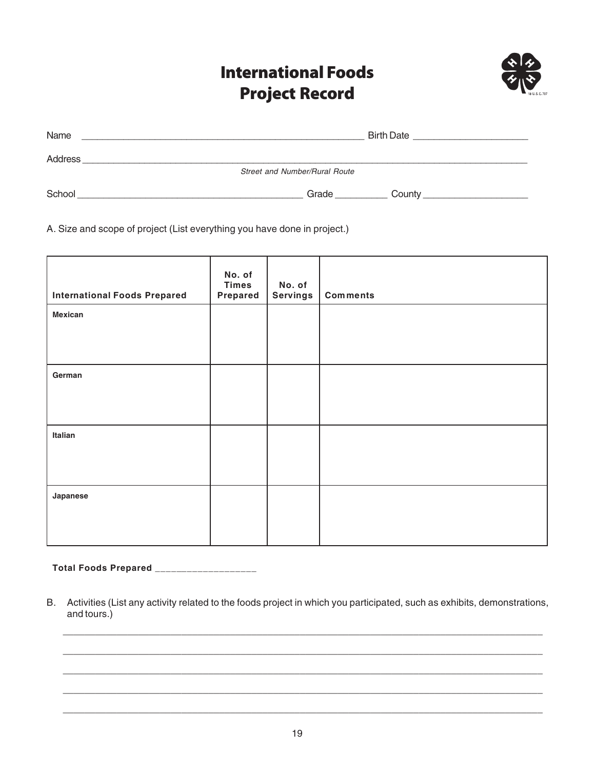# **International Foods Project Record**



| <b>Street and Number/Rural Route</b> |
|--------------------------------------|
| County                               |
|                                      |

A. Size and scope of project (List everything you have done in project.)

| <b>International Foods Prepared</b> | No. of<br><b>Times</b><br>Prepared | No. of<br><b>Servings</b> | <b>Comments</b> |
|-------------------------------------|------------------------------------|---------------------------|-----------------|
| <b>Mexican</b>                      |                                    |                           |                 |
| German                              |                                    |                           |                 |
| Italian                             |                                    |                           |                 |
|                                     |                                    |                           |                 |
| Japanese                            |                                    |                           |                 |

**Total Foods Prepared \_\_\_\_\_\_\_\_\_\_\_\_\_\_\_\_\_\_\_**

B. Activities (List any activity related to the foods project in which you participated, such as exhibits, demonstrations, and tours.)

 $\Box$ 

 $\_$  , and the set of the set of the set of the set of the set of the set of the set of the set of the set of the set of the set of the set of the set of the set of the set of the set of the set of the set of the set of th

\_\_\_\_\_\_\_\_\_\_\_\_\_\_\_\_\_\_\_\_\_\_\_\_\_\_\_\_\_\_\_\_\_\_\_\_\_\_\_\_\_\_\_\_\_\_\_\_\_\_\_\_\_\_\_\_\_\_\_\_\_\_\_\_\_\_\_\_\_\_\_\_\_\_\_\_\_\_\_\_\_\_\_\_\_\_\_\_\_  $\Box$ 

 $\_$  , and the set of the set of the set of the set of the set of the set of the set of the set of the set of the set of the set of the set of the set of the set of the set of the set of the set of the set of the set of th